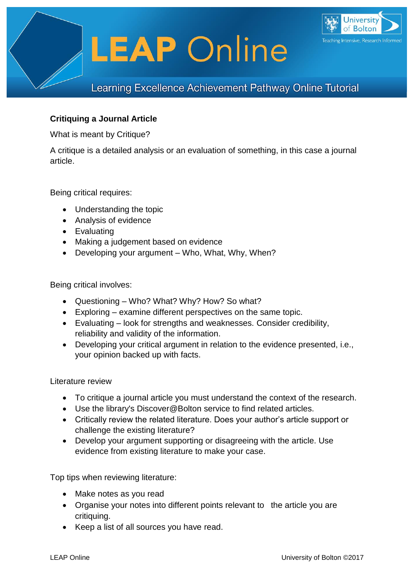

# **Critiquing a Journal Article**

What is meant by Critique?

A critique is a detailed analysis or an evaluation of something, in this case a journal article.

Being critical requires:

- Understanding the topic
- Analysis of evidence
- Evaluating
- Making a judgement based on evidence
- Developing your argument Who, What, Why, When?

Being critical involves:

- Questioning Who? What? Why? How? So what?
- Exploring examine different perspectives on the same topic.
- Evaluating look for strengths and weaknesses. Consider credibility, reliability and validity of the information.
- Developing your critical argument in relation to the evidence presented, i.e., your opinion backed up with facts.

#### Literature review

- To critique a journal article you must understand the context of the research.
- Use the library's Discover@Bolton service to find related articles.
- Critically review the related literature. Does your author's article support or challenge the existing literature?
- Develop your argument supporting or disagreeing with the article. Use evidence from existing literature to make your case.

Top tips when reviewing literature:

- Make notes as you read
- Organise your notes into different points relevant to the article you are critiquing.
- Keep a list of all sources you have read.